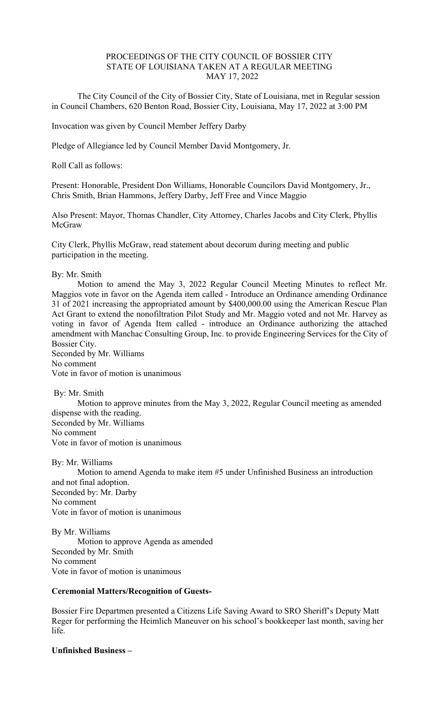## PROCEEDINGS OF THE CITY COUNCIL OF BOSSIER CITY STATE OF LOUISIANA TAKEN AT A REGULAR MEETING MAY 17, 2022

 The City Council of the City of Bossier City, State of Louisiana, met in Regular session in Council Chambers, 620 Benton Road, Bossier City, Louisiana, May 17, 2022 at 3:00 PM

Invocation was given by Council Member Jeffery Darby

Pledge of Allegiance led by Council Member David Montgomery, Jr.

Roll Call as follows:

Present: Honorable, President Don Williams, Honorable Councilors David Montgomery, Jr., Chris Smith, Brian Hammons, Jeffery Darby, Jeff Free and Vince Maggio

Also Present: Mayor, Thomas Chandler, City Attorney, Charles Jacobs and City Clerk, Phyllis McGraw

City Clerk, Phyllis McGraw, read statement about decorum during meeting and public participation in the meeting.

### By: Mr. Smith

 Motion to amend the May 3, 2022 Regular Council Meeting Minutes to reflect Mr. Maggios vote in favor on the Agenda item called - Introduce an Ordinance amending Ordinance 31 of 2021 increasing the appropriated amount by \$400,000.00 using the American Rescue Plan Act Grant to extend the nonofiltration Pilot Study and Mr. Maggio voted and not Mr. Harvey as voting in favor of Agenda Item called - introduce an Ordinance authorizing the attached amendment with Manchac Consulting Group, Inc. to provide Engineering Services for the City of Bossier City.

Seconded by Mr. Williams No comment Vote in favor of motion is unanimous

By: Mr. Smith

 Motion to approve minutes from the May 3, 2022, Regular Council meeting as amended dispense with the reading. Seconded by Mr. Williams No comment Vote in favor of motion is unanimous

By: Mr. Williams

 Motion to amend Agenda to make item #5 under Unfinished Business an introduction and not final adoption. Seconded by: Mr. Darby No comment Vote in favor of motion is unanimous

By Mr. Williams Motion to approve Agenda as amended Seconded by Mr. Smith No comment Vote in favor of motion is unanimous

## **Ceremonial Matters/Recognition of Guests-**

Bossier Fire Departmen presented a Citizens Life Saving Award to SRO Sheriff's Deputy Matt Reger for performing the Heimlich Maneuver on his school's bookkeeper last month, saving her life.

**Unfinished Business –**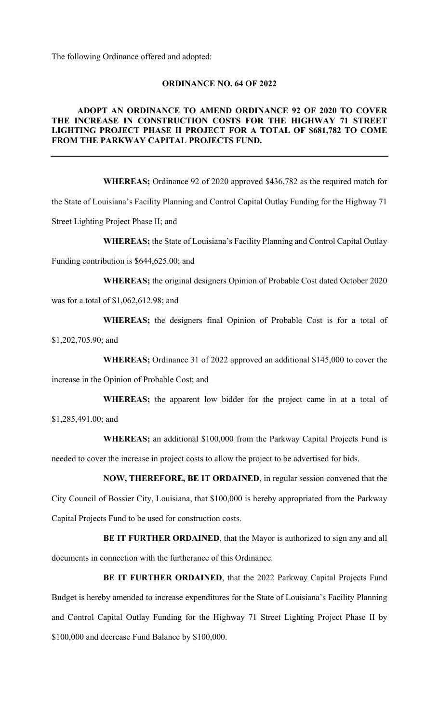The following Ordinance offered and adopted:

## **ORDINANCE NO. 64 OF 2022**

## **ADOPT AN ORDINANCE TO AMEND ORDINANCE 92 OF 2020 TO COVER THE INCREASE IN CONSTRUCTION COSTS FOR THE HIGHWAY 71 STREET LIGHTING PROJECT PHASE II PROJECT FOR A TOTAL OF \$681,782 TO COME FROM THE PARKWAY CAPITAL PROJECTS FUND.**

**WHEREAS;** Ordinance 92 of 2020 approved \$436,782 as the required match for the State of Louisiana's Facility Planning and Control Capital Outlay Funding for the Highway 71 Street Lighting Project Phase II; and

**WHEREAS;** the State of Louisiana's Facility Planning and Control Capital Outlay

Funding contribution is \$644,625.00; and

**WHEREAS;** the original designers Opinion of Probable Cost dated October 2020

was for a total of \$1,062,612.98; and

**WHEREAS;** the designers final Opinion of Probable Cost is for a total of

\$1,202,705.90; and

**WHEREAS;** Ordinance 31 of 2022 approved an additional \$145,000 to cover the

increase in the Opinion of Probable Cost; and

**WHEREAS;** the apparent low bidder for the project came in at a total of

\$1,285,491.00; and

**WHEREAS;** an additional \$100,000 from the Parkway Capital Projects Fund is

needed to cover the increase in project costs to allow the project to be advertised for bids.

# **NOW, THEREFORE, BE IT ORDAINED**, in regular session convened that the

City Council of Bossier City, Louisiana, that \$100,000 is hereby appropriated from the Parkway Capital Projects Fund to be used for construction costs.

**BE IT FURTHER ORDAINED**, that the Mayor is authorized to sign any and all documents in connection with the furtherance of this Ordinance.

**BE IT FURTHER ORDAINED**, that the 2022 Parkway Capital Projects Fund Budget is hereby amended to increase expenditures for the State of Louisiana's Facility Planning and Control Capital Outlay Funding for the Highway 71 Street Lighting Project Phase II by \$100,000 and decrease Fund Balance by \$100,000.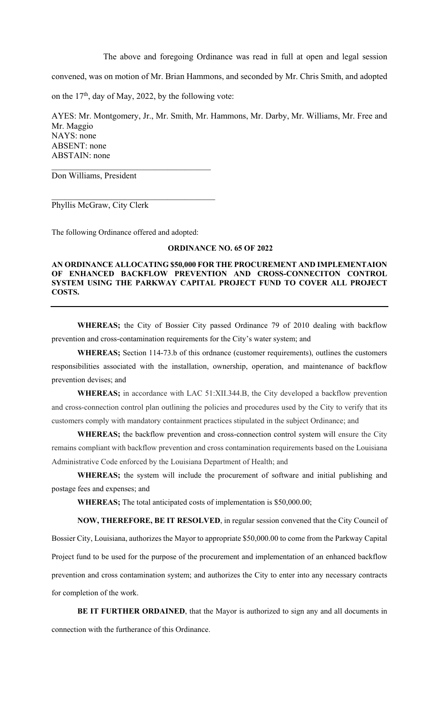The above and foregoing Ordinance was read in full at open and legal session

convened, was on motion of Mr. Brian Hammons, and seconded by Mr. Chris Smith, and adopted

on the  $17<sup>th</sup>$ , day of May, 2022, by the following vote:

AYES: Mr. Montgomery, Jr., Mr. Smith, Mr. Hammons, Mr. Darby, Mr. Williams, Mr. Free and Mr. Maggio NAYS: none ABSENT: none ABSTAIN: none

Don Williams, President

Phyllis McGraw, City Clerk

The following Ordinance offered and adopted:

### **ORDINANCE NO. 65 OF 2022**

## **AN ORDINANCE ALLOCATING \$50,000 FOR THE PROCUREMENT AND IMPLEMENTAION OF ENHANCED BACKFLOW PREVENTION AND CROSS-CONNECITON CONTROL SYSTEM USING THE PARKWAY CAPITAL PROJECT FUND TO COVER ALL PROJECT COSTS.**

**WHEREAS;** the City of Bossier City passed Ordinance 79 of 2010 dealing with backflow prevention and cross-contamination requirements for the City's water system; and

**WHEREAS;** Section 114-73.b of this ordnance (customer requirements), outlines the customers responsibilities associated with the installation, ownership, operation, and maintenance of backflow prevention devises; and

**WHEREAS;** in accordance with LAC 51:XII.344.B, the City developed a backflow prevention and cross-connection control plan outlining the policies and procedures used by the City to verify that its customers comply with mandatory containment practices stipulated in the subject Ordinance; and

**WHEREAS;** the backflow prevention and cross-connection control system will ensure the City remains compliant with backflow prevention and cross contamination requirements based on the Louisiana Administrative Code enforced by the Louisiana Department of Health; and

**WHEREAS;** the system will include the procurement of software and initial publishing and postage fees and expenses; and

**WHEREAS;** The total anticipated costs of implementation is \$50,000.00;

**NOW, THEREFORE, BE IT RESOLVED**, in regular session convened that the City Council of Bossier City, Louisiana, authorizes the Mayor to appropriate \$50,000.00 to come from the Parkway Capital Project fund to be used for the purpose of the procurement and implementation of an enhanced backflow prevention and cross contamination system; and authorizes the City to enter into any necessary contracts for completion of the work.

**BE IT FURTHER ORDAINED**, that the Mayor is authorized to sign any and all documents in connection with the furtherance of this Ordinance.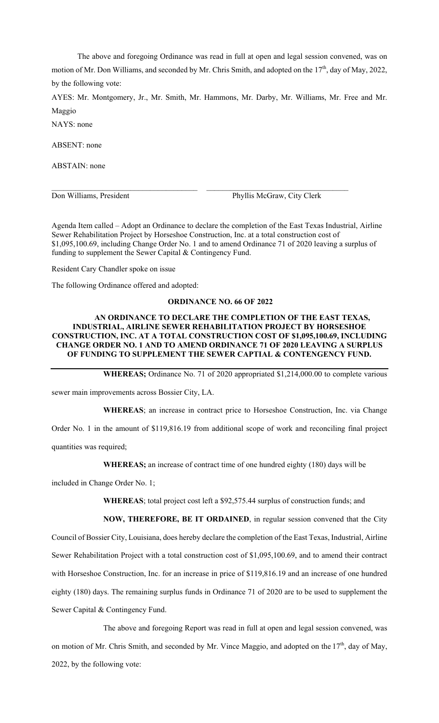The above and foregoing Ordinance was read in full at open and legal session convened, was on motion of Mr. Don Williams, and seconded by Mr. Chris Smith, and adopted on the 17<sup>th</sup>, day of May, 2022, by the following vote:

AYES: Mr. Montgomery, Jr., Mr. Smith, Mr. Hammons, Mr. Darby, Mr. Williams, Mr. Free and Mr. Maggio

NAYS: none

ABSENT: none

ABSTAIN: none

Don Williams, President Phyllis McGraw, City Clerk

Agenda Item called – Adopt an Ordinance to declare the completion of the East Texas Industrial, Airline Sewer Rehabilitation Project by Horseshoe Construction, Inc. at a total construction cost of \$1,095,100.69, including Change Order No. 1 and to amend Ordinance 71 of 2020 leaving a surplus of funding to supplement the Sewer Capital & Contingency Fund.

 $\mathcal{L}_\text{max} = \frac{1}{2} \sum_{i=1}^n \mathcal{L}_\text{max}(\mathbf{z}_i - \mathbf{z}_i)$ 

Resident Cary Chandler spoke on issue

The following Ordinance offered and adopted:

#### **ORDINANCE NO. 66 OF 2022**

## **AN ORDINANCE TO DECLARE THE COMPLETION OF THE EAST TEXAS, INDUSTRIAL, AIRLINE SEWER REHABILITATION PROJECT BY HORSESHOE CONSTRUCTION, INC. AT A TOTAL CONSTRUCTION COST OF \$1,095,100.69, INCLUDING CHANGE ORDER NO. 1 AND TO AMEND ORDINANCE 71 OF 2020 LEAVING A SURPLUS OF FUNDING TO SUPPLEMENT THE SEWER CAPTIAL & CONTENGENCY FUND.**

**WHEREAS;** Ordinance No. 71 of 2020 appropriated \$1,214,000.00 to complete various

sewer main improvements across Bossier City, LA.

**WHEREAS**; an increase in contract price to Horseshoe Construction, Inc. via Change Order No. 1 in the amount of \$119,816.19 from additional scope of work and reconciling final project quantities was required;

**WHEREAS;** an increase of contract time of one hundred eighty (180) days will be

included in Change Order No. 1;

**WHEREAS**; total project cost left a \$92,575.44 surplus of construction funds; and

**NOW, THEREFORE, BE IT ORDAINED**, in regular session convened that the City Council of Bossier City, Louisiana, does hereby declare the completion of the East Texas, Industrial, Airline Sewer Rehabilitation Project with a total construction cost of \$1,095,100.69, and to amend their contract with Horseshoe Construction, Inc. for an increase in price of \$119,816.19 and an increase of one hundred eighty (180) days. The remaining surplus funds in Ordinance 71 of 2020 are to be used to supplement the Sewer Capital & Contingency Fund.

The above and foregoing Report was read in full at open and legal session convened, was on motion of Mr. Chris Smith, and seconded by Mr. Vince Maggio, and adopted on the  $17<sup>th</sup>$ , day of May, 2022, by the following vote: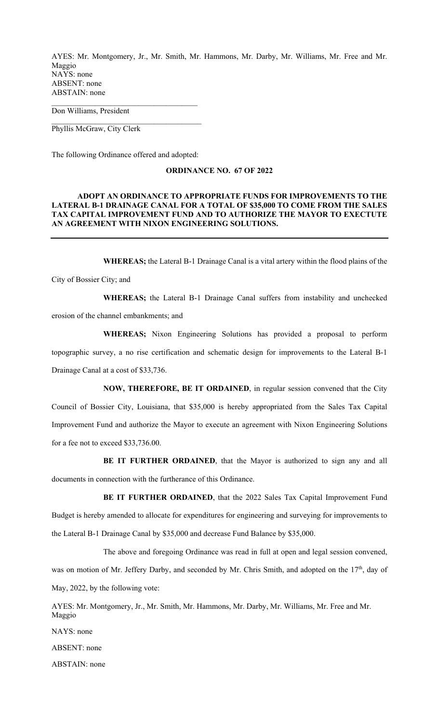AYES: Mr. Montgomery, Jr., Mr. Smith, Mr. Hammons, Mr. Darby, Mr. Williams, Mr. Free and Mr. Maggio NAYS: none ABSENT: none ABSTAIN: none  $\mathcal{L}_\text{max}$ 

Don Williams, President

Phyllis McGraw, City Clerk

The following Ordinance offered and adopted:

## **ORDINANCE NO. 67 OF 2022**

## **ADOPT AN ORDINANCE TO APPROPRIATE FUNDS FOR IMPROVEMENTS TO THE LATERAL B-1 DRAINAGE CANAL FOR A TOTAL OF \$35,000 TO COME FROM THE SALES TAX CAPITAL IMPROVEMENT FUND AND TO AUTHORIZE THE MAYOR TO EXECTUTE AN AGREEMENT WITH NIXON ENGINEERING SOLUTIONS.**

**WHEREAS;** the Lateral B-1 Drainage Canal is a vital artery within the flood plains of the

City of Bossier City; and

**WHEREAS;** the Lateral B-1 Drainage Canal suffers from instability and unchecked erosion of the channel embankments; and

**WHEREAS;** Nixon Engineering Solutions has provided a proposal to perform topographic survey, a no rise certification and schematic design for improvements to the Lateral B-1 Drainage Canal at a cost of \$33,736.

**NOW, THEREFORE, BE IT ORDAINED**, in regular session convened that the City Council of Bossier City, Louisiana, that \$35,000 is hereby appropriated from the Sales Tax Capital Improvement Fund and authorize the Mayor to execute an agreement with Nixon Engineering Solutions for a fee not to exceed \$33,736.00.

**BE IT FURTHER ORDAINED**, that the Mayor is authorized to sign any and all documents in connection with the furtherance of this Ordinance.

**BE IT FURTHER ORDAINED**, that the 2022 Sales Tax Capital Improvement Fund Budget is hereby amended to allocate for expenditures for engineering and surveying for improvements to the Lateral B-1 Drainage Canal by \$35,000 and decrease Fund Balance by \$35,000.

The above and foregoing Ordinance was read in full at open and legal session convened, was on motion of Mr. Jeffery Darby, and seconded by Mr. Chris Smith, and adopted on the 17<sup>th</sup>, day of May, 2022, by the following vote:

AYES: Mr. Montgomery, Jr., Mr. Smith, Mr. Hammons, Mr. Darby, Mr. Williams, Mr. Free and Mr. Maggio

NAYS: none

ABSENT: none

ABSTAIN: none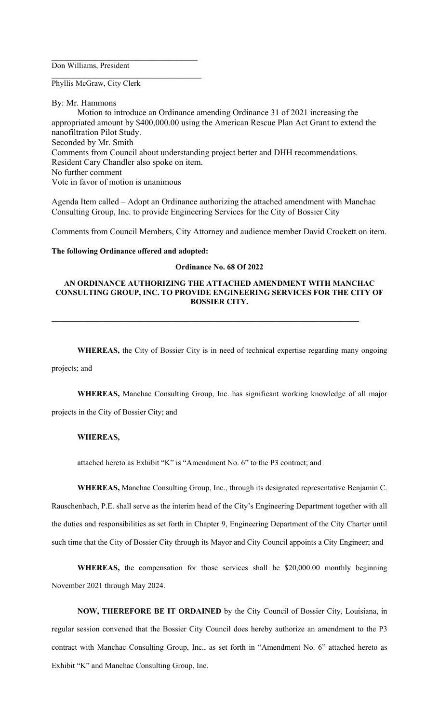Don Williams, President

 $\mathcal{L}_\text{max}$ 

Phyllis McGraw, City Clerk

By: Mr. Hammons

Motion to introduce an Ordinance amending Ordinance 31 of 2021 increasing the appropriated amount by \$400,000.00 using the American Rescue Plan Act Grant to extend the nanofiltration Pilot Study. Seconded by Mr. Smith Comments from Council about understanding project better and DHH recommendations. Resident Cary Chandler also spoke on item. No further comment Vote in favor of motion is unanimous

Agenda Item called – Adopt an Ordinance authorizing the attached amendment with Manchac Consulting Group, Inc. to provide Engineering Services for the City of Bossier City

Comments from Council Members, City Attorney and audience member David Crockett on item.

#### **The following Ordinance offered and adopted:**

#### **Ordinance No. 68 Of 2022**

### **AN ORDINANCE AUTHORIZING THE ATTACHED AMENDMENT WITH MANCHAC CONSULTING GROUP, INC. TO PROVIDE ENGINEERING SERVICES FOR THE CITY OF BOSSIER CITY.**

**\_\_\_\_\_\_\_\_\_\_\_\_\_\_\_\_\_\_\_\_\_\_\_\_\_\_\_\_\_\_\_\_\_\_\_\_\_\_\_\_\_\_\_\_\_\_\_\_\_\_\_\_\_\_\_\_\_\_\_\_\_\_\_\_\_\_\_\_\_\_\_\_\_\_\_\_\_\_** 

**WHEREAS,** the City of Bossier City is in need of technical expertise regarding many ongoing

projects; and

**WHEREAS,** Manchac Consulting Group, Inc. has significant working knowledge of all major

projects in the City of Bossier City; and

### **WHEREAS,**

attached hereto as Exhibit "K" is "Amendment No. 6" to the P3 contract; and

**WHEREAS,** Manchac Consulting Group, Inc., through its designated representative Benjamin C. Rauschenbach, P.E. shall serve as the interim head of the City's Engineering Department together with all the duties and responsibilities as set forth in Chapter 9, Engineering Department of the City Charter until such time that the City of Bossier City through its Mayor and City Council appoints a City Engineer; and

**WHEREAS,** the compensation for those services shall be \$20,000.00 monthly beginning November 2021 through May 2024.

**NOW, THEREFORE BE IT ORDAINED** by the City Council of Bossier City, Louisiana, in regular session convened that the Bossier City Council does hereby authorize an amendment to the P3 contract with Manchac Consulting Group, Inc., as set forth in "Amendment No. 6" attached hereto as Exhibit "K" and Manchac Consulting Group, Inc.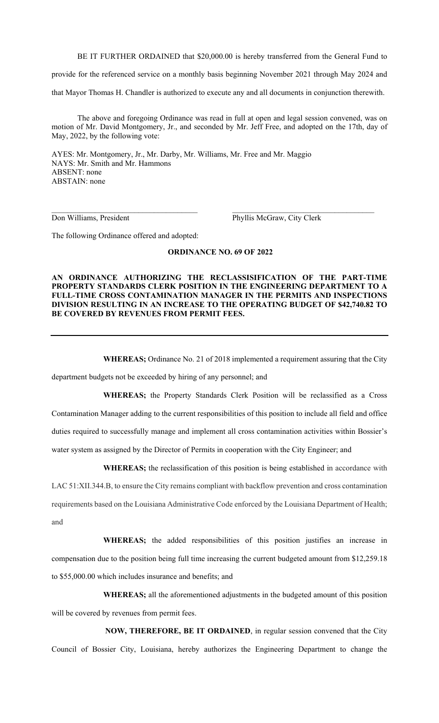BE IT FURTHER ORDAINED that \$20,000.00 is hereby transferred from the General Fund to

provide for the referenced service on a monthly basis beginning November 2021 through May 2024 and

that Mayor Thomas H. Chandler is authorized to execute any and all documents in conjunction therewith.

 The above and foregoing Ordinance was read in full at open and legal session convened, was on motion of Mr. David Montgomery, Jr., and seconded by Mr. Jeff Free, and adopted on the 17th, day of May, 2022, by the following vote:

AYES: Mr. Montgomery, Jr., Mr. Darby, Mr. Williams, Mr. Free and Mr. Maggio NAYS: Mr. Smith and Mr. Hammons ABSENT: none ABSTAIN: none

Don Williams, President Phyllis McGraw, City Clerk

The following Ordinance offered and adopted:

## **ORDINANCE NO. 69 OF 2022**

 $\_$  , and the contribution of the contribution of  $\mathcal{L}_\mathcal{A}$  , and the contribution of  $\mathcal{L}_\mathcal{A}$ 

## **AN ORDINANCE AUTHORIZING THE RECLASSISIFICATION OF THE PART-TIME PROPERTY STANDARDS CLERK POSITION IN THE ENGINEERING DEPARTMENT TO A FULL-TIME CROSS CONTAMINATION MANAGER IN THE PERMITS AND INSPECTIONS DIVISION RESULTING IN AN INCREASE TO THE OPERATING BUDGET OF \$42,740.82 TO BE COVERED BY REVENUES FROM PERMIT FEES.**

**WHEREAS;** Ordinance No. 21 of 2018 implemented a requirement assuring that the City

department budgets not be exceeded by hiring of any personnel; and

**WHEREAS;** the Property Standards Clerk Position will be reclassified as a Cross Contamination Manager adding to the current responsibilities of this position to include all field and office duties required to successfully manage and implement all cross contamination activities within Bossier's water system as assigned by the Director of Permits in cooperation with the City Engineer; and

**WHEREAS;** the reclassification of this position is being established in accordance with

LAC 51:XII.344.B, to ensure the City remains compliant with backflow prevention and cross contamination requirements based on the Louisiana Administrative Code enforced by the Louisiana Department of Health; and

**WHEREAS;** the added responsibilities of this position justifies an increase in compensation due to the position being full time increasing the current budgeted amount from \$12,259.18 to \$55,000.00 which includes insurance and benefits; and

**WHEREAS;** all the aforementioned adjustments in the budgeted amount of this position will be covered by revenues from permit fees.

**NOW, THEREFORE, BE IT ORDAINED**, in regular session convened that the City Council of Bossier City, Louisiana, hereby authorizes the Engineering Department to change the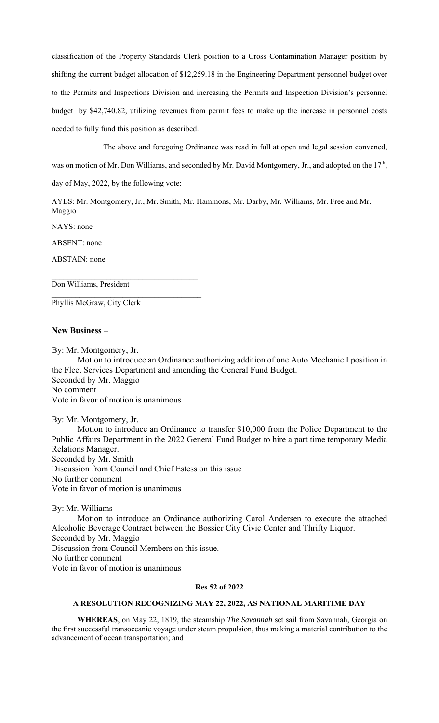classification of the Property Standards Clerk position to a Cross Contamination Manager position by shifting the current budget allocation of \$12,259.18 in the Engineering Department personnel budget over to the Permits and Inspections Division and increasing the Permits and Inspection Division's personnel budget by \$42,740.82, utilizing revenues from permit fees to make up the increase in personnel costs needed to fully fund this position as described.

The above and foregoing Ordinance was read in full at open and legal session convened,

was on motion of Mr. Don Williams, and seconded by Mr. David Montgomery, Jr., and adopted on the 17<sup>th</sup>,

day of May, 2022, by the following vote:

 $\mathcal{L}_\text{max}$ 

\_\_\_\_\_\_\_\_\_\_\_\_\_\_\_\_\_\_\_\_\_\_\_\_\_\_\_\_\_\_\_\_\_\_\_\_\_\_

AYES: Mr. Montgomery, Jr., Mr. Smith, Mr. Hammons, Mr. Darby, Mr. Williams, Mr. Free and Mr. Maggio

NAYS: none

ABSENT: none

ABSTAIN: none

Don Williams, President

Phyllis McGraw, City Clerk

## **New Business –**

By: Mr. Montgomery, Jr.

 Motion to introduce an Ordinance authorizing addition of one Auto Mechanic I position in the Fleet Services Department and amending the General Fund Budget. Seconded by Mr. Maggio No comment Vote in favor of motion is unanimous

By: Mr. Montgomery, Jr. Motion to introduce an Ordinance to transfer \$10,000 from the Police Department to the Public Affairs Department in the 2022 General Fund Budget to hire a part time temporary Media Relations Manager. Seconded by Mr. Smith Discussion from Council and Chief Estess on this issue No further comment Vote in favor of motion is unanimous

By: Mr. Williams

 Motion to introduce an Ordinance authorizing Carol Andersen to execute the attached Alcoholic Beverage Contract between the Bossier City Civic Center and Thrifty Liquor. Seconded by Mr. Maggio Discussion from Council Members on this issue. No further comment Vote in favor of motion is unanimous

## **Res 52 of 2022**

## **A RESOLUTION RECOGNIZING MAY 22, 2022, AS NATIONAL MARITIME DAY**

**WHEREAS**, on May 22, 1819, the steamship *The Savannah* set sail from Savannah, Georgia on the first successful transoceanic voyage under steam propulsion, thus making a material contribution to the advancement of ocean transportation; and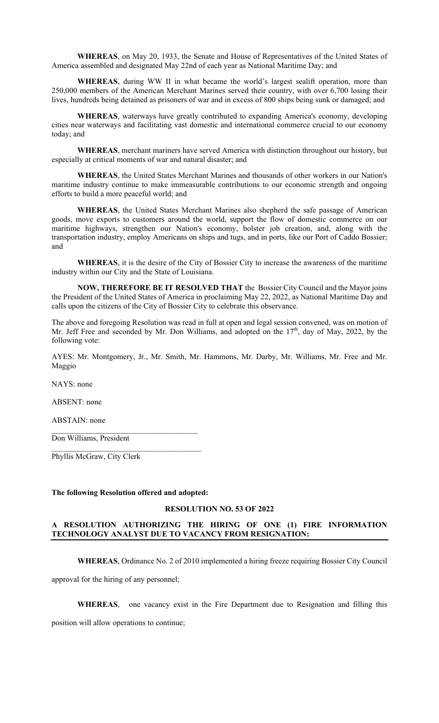**WHEREAS**, on May 20, 1933, the Senate and House of Representatives of the United States of America assembled and designated May 22nd of each year as National Maritime Day; and

**WHEREAS**, during WW II in what became the world's largest sealift operation, more than 250,000 members of the American Merchant Marines served their country, with over 6,700 losing their lives, hundreds being detained as prisoners of war and in excess of 800 ships being sunk or damaged; and

**WHEREAS**, waterways have greatly contributed to expanding America's economy, developing cities near waterways and facilitating vast domestic and international commerce crucial to our economy today; and

**WHEREAS**, merchant mariners have served America with distinction throughout our history, but especially at critical moments of war and natural disaster; and

**WHEREAS**, the United States Merchant Marines and thousands of other workers in our Nation's maritime industry continue to make immeasurable contributions to our economic strength and ongoing efforts to build a more peaceful world; and

**WHEREAS**, the United States Merchant Marines also shepherd the safe passage of American goods, move exports to customers around the world, support the flow of domestic commerce on our maritime highways, strengthen our Nation's economy, bolster job creation, and, along with the transportation industry, employ Americans on ships and tugs, and in ports, like our Port of Caddo Bossier; and

 **WHEREAS**, it is the desire of the City of Bossier City to increase the awareness of the maritime industry within our City and the State of Louisiana.

**NOW, THEREFORE BE IT RESOLVED THAT** the Bossier City Council and the Mayor joins the President of the United States of America in proclaiming May 22, 2022, as National Maritime Day and calls upon the citizens of the City of Bossier City to celebrate this observance.

The above and foregoing Resolution was read in full at open and legal session convened, was on motion of Mr. Jeff Free and seconded by Mr. Don Williams, and adopted on the  $17<sup>th</sup>$ , day of May, 2022, by the following vote:

AYES: Mr. Montgomery, Jr., Mr. Smith, Mr. Hammons, Mr. Darby, Mr. Williams, Mr. Free and Mr. Maggio

NAYS: none

ABSENT: none

ABSTAIN: none

Don Williams, President

Phyllis McGraw, City Clerk

#### **The following Resolution offered and adopted:**

 $\mathcal{L}_\text{max}$ 

## **RESOLUTION NO. 53 OF 2022**

## **A RESOLUTION AUTHORIZING THE HIRING OF ONE (1) FIRE INFORMATION TECHNOLOGY ANALYST DUE TO VACANCY FROM RESIGNATION:**

**WHEREAS**, Ordinance No. 2 of 2010 implemented a hiring freeze requiring Bossier City Council

approval for the hiring of any personnel;

**WHEREAS**, one vacancy exist in the Fire Department due to Resignation and filling this

position will allow operations to continue;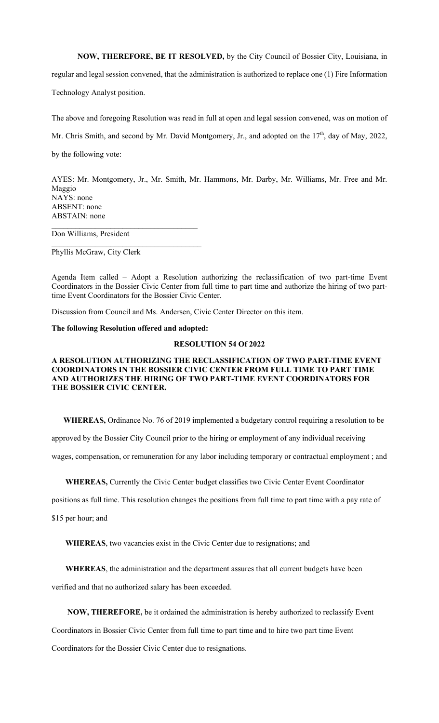**NOW, THEREFORE, BE IT RESOLVED,** by the City Council of Bossier City, Louisiana, in

regular and legal session convened, that the administration is authorized to replace one (1) Fire Information

Technology Analyst position.

The above and foregoing Resolution was read in full at open and legal session convened, was on motion of

Mr. Chris Smith, and second by Mr. David Montgomery, Jr., and adopted on the 17<sup>th</sup>, day of May, 2022,

by the following vote:

AYES: Mr. Montgomery, Jr., Mr. Smith, Mr. Hammons, Mr. Darby, Mr. Williams, Mr. Free and Mr. Maggio NAYS: none ABSENT: none ABSTAIN: none

Don Williams, President

Phyllis McGraw, City Clerk

Agenda Item called – Adopt a Resolution authorizing the reclassification of two part-time Event Coordinators in the Bossier Civic Center from full time to part time and authorize the hiring of two parttime Event Coordinators for the Bossier Civic Center.

Discussion from Council and Ms. Andersen, Civic Center Director on this item.

#### **The following Resolution offered and adopted:**

 $\mathcal{L}_\text{max}$ 

#### **RESOLUTION 54 Of 2022**

### **A RESOLUTION AUTHORIZING THE RECLASSIFICATION OF TWO PART-TIME EVENT COORDINATORS IN THE BOSSIER CIVIC CENTER FROM FULL TIME TO PART TIME AND AUTHORIZES THE HIRING OF TWO PART-TIME EVENT COORDINATORS FOR THE BOSSIER CIVIC CENTER.**

 **WHEREAS,** Ordinance No. 76 of 2019 implemented a budgetary control requiring a resolution to be

approved by the Bossier City Council prior to the hiring or employment of any individual receiving

wages, compensation, or remuneration for any labor including temporary or contractual employment ; and

 **WHEREAS,** Currently the Civic Center budget classifies two Civic Center Event Coordinator

positions as full time. This resolution changes the positions from full time to part time with a pay rate of

\$15 per hour; and

**WHEREAS**, two vacancies exist in the Civic Center due to resignations; and

 **WHEREAS**, the administration and the department assures that all current budgets have been

verified and that no authorized salary has been exceeded.

 **NOW, THEREFORE,** be it ordained the administration is hereby authorized to reclassify Event

Coordinators in Bossier Civic Center from full time to part time and to hire two part time Event Coordinators for the Bossier Civic Center due to resignations.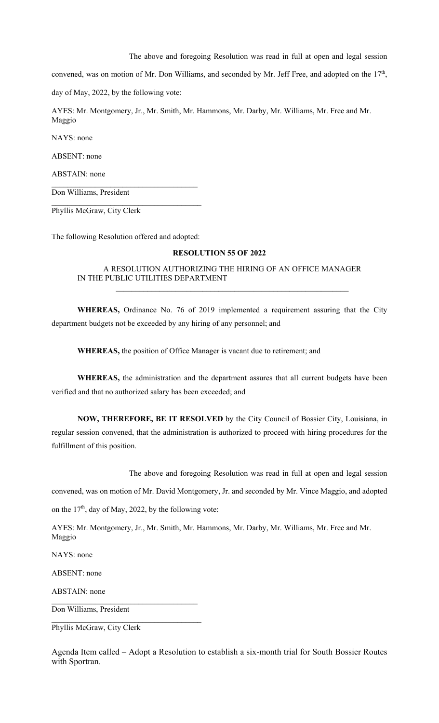The above and foregoing Resolution was read in full at open and legal session

convened, was on motion of Mr. Don Williams, and seconded by Mr. Jeff Free, and adopted on the 17<sup>th</sup>,

day of May, 2022, by the following vote:

AYES: Mr. Montgomery, Jr., Mr. Smith, Mr. Hammons, Mr. Darby, Mr. Williams, Mr. Free and Mr. Maggio

NAYS: none

ABSENT: none

ABSTAIN: none

Don Williams, President

Phyllis McGraw, City Clerk

The following Resolution offered and adopted:

 $\mathcal{L}_\text{max}$ 

### **RESOLUTION 55 OF 2022**

A RESOLUTION AUTHORIZING THE HIRING OF AN OFFICE MANAGER IN THE PUBLIC UTILITIES DEPARTMENT  $\mathcal{L}_\text{max}$  and the contract of the contract of the contract of the contract of the contract of the contract of

**WHEREAS,** Ordinance No. 76 of 2019 implemented a requirement assuring that the City department budgets not be exceeded by any hiring of any personnel; and

**WHEREAS,** the position of Office Manager is vacant due to retirement; and

**WHEREAS,** the administration and the department assures that all current budgets have been verified and that no authorized salary has been exceeded; and

**NOW, THEREFORE, BE IT RESOLVED** by the City Council of Bossier City, Louisiana, in regular session convened, that the administration is authorized to proceed with hiring procedures for the fulfillment of this position.

The above and foregoing Resolution was read in full at open and legal session

convened, was on motion of Mr. David Montgomery, Jr. and seconded by Mr. Vince Maggio, and adopted

on the  $17<sup>th</sup>$ , day of May, 2022, by the following vote:

 $\mathcal{L}_\text{max}$ 

AYES: Mr. Montgomery, Jr., Mr. Smith, Mr. Hammons, Mr. Darby, Mr. Williams, Mr. Free and Mr. Maggio

NAYS: none

ABSENT: none

ABSTAIN: none

Don Williams, President

Phyllis McGraw, City Clerk

Agenda Item called – Adopt a Resolution to establish a six-month trial for South Bossier Routes with Sportran.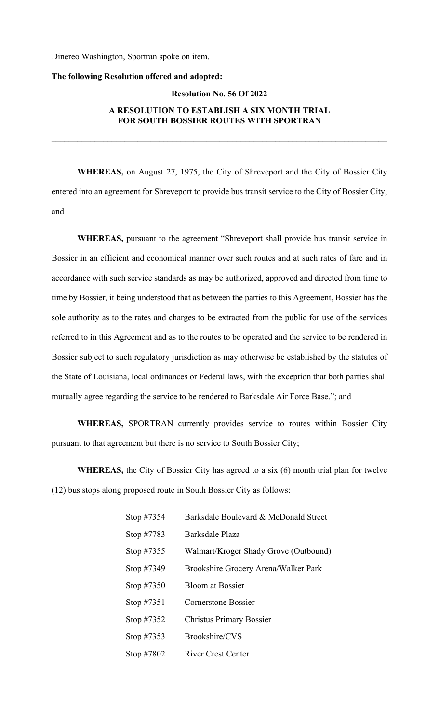Dinereo Washington, Sportran spoke on item.

## **The following Resolution offered and adopted:**

## **Resolution No. 56 Of 2022**

## **A RESOLUTION TO ESTABLISH A SIX MONTH TRIAL FOR SOUTH BOSSIER ROUTES WITH SPORTRAN**

**\_\_\_\_\_\_\_\_\_\_\_\_\_\_\_\_\_\_\_\_\_\_\_\_\_\_\_\_\_\_\_\_\_\_\_\_\_\_\_\_\_\_\_\_\_\_\_\_\_\_\_\_\_\_\_\_\_\_\_\_\_\_\_\_\_\_\_\_\_\_\_\_\_\_\_\_\_\_** 

**WHEREAS,** on August 27, 1975, the City of Shreveport and the City of Bossier City entered into an agreement for Shreveport to provide bus transit service to the City of Bossier City; and

**WHEREAS,** pursuant to the agreement "Shreveport shall provide bus transit service in Bossier in an efficient and economical manner over such routes and at such rates of fare and in accordance with such service standards as may be authorized, approved and directed from time to time by Bossier, it being understood that as between the parties to this Agreement, Bossier has the sole authority as to the rates and charges to be extracted from the public for use of the services referred to in this Agreement and as to the routes to be operated and the service to be rendered in Bossier subject to such regulatory jurisdiction as may otherwise be established by the statutes of the State of Louisiana, local ordinances or Federal laws, with the exception that both parties shall mutually agree regarding the service to be rendered to Barksdale Air Force Base."; and

**WHEREAS,** SPORTRAN currently provides service to routes within Bossier City pursuant to that agreement but there is no service to South Bossier City;

**WHEREAS,** the City of Bossier City has agreed to a six (6) month trial plan for twelve (12) bus stops along proposed route in South Bossier City as follows:

| Stop $\#7354$ | Barksdale Boulevard & McDonald Street |
|---------------|---------------------------------------|
| Stop #7783    | Barksdale Plaza                       |
| Stop $\#7355$ | Walmart/Kroger Shady Grove (Outbound) |
| Stop #7349    | Brookshire Grocery Arena/Walker Park  |
| Stop $\#7350$ | Bloom at Bossier                      |
| Stop $\#7351$ | Cornerstone Bossier                   |
| Stop $\#7352$ | <b>Christus Primary Bossier</b>       |
| Stop #7353    | Brookshire/CVS                        |
| Stop #7802    | River Crest Center                    |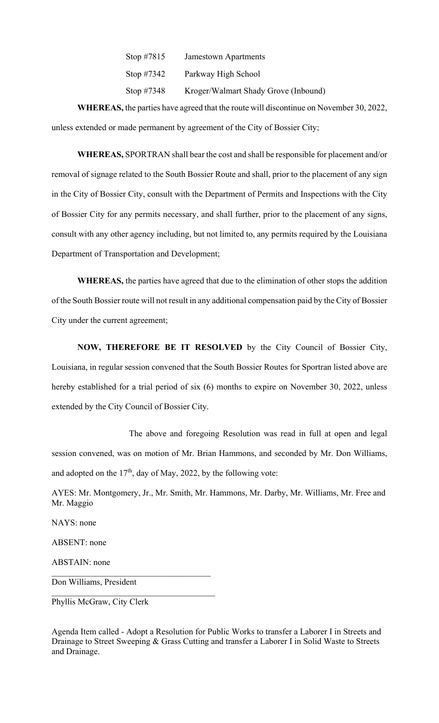| Stop #7815    | <b>Jamestown Apartments</b>          |
|---------------|--------------------------------------|
| Stop $\#7342$ | Parkway High School                  |
| Stop $\#7348$ | Kroger/Walmart Shady Grove (Inbound) |

**WHEREAS,** the parties have agreed that the route will discontinue on November 30, 2022, unless extended or made permanent by agreement of the City of Bossier City;

**WHEREAS,** SPORTRAN shall bear the cost and shall be responsible for placement and/or removal of signage related to the South Bossier Route and shall, prior to the placement of any sign in the City of Bossier City, consult with the Department of Permits and Inspections with the City of Bossier City for any permits necessary, and shall further, prior to the placement of any signs, consult with any other agency including, but not limited to, any permits required by the Louisiana Department of Transportation and Development;

**WHEREAS,** the parties have agreed that due to the elimination of other stops the addition of the South Bossier route will not result in any additional compensation paid by the City of Bossier City under the current agreement;

**NOW, THEREFORE BE IT RESOLVED** by the City Council of Bossier City, Louisiana, in regular session convened that the South Bossier Routes for Sportran listed above are hereby established for a trial period of six (6) months to expire on November 30, 2022, unless extended by the City Council of Bossier City.

 The above and foregoing Resolution was read in full at open and legal session convened, was on motion of Mr. Brian Hammons, and seconded by Mr. Don Williams, and adopted on the  $17<sup>th</sup>$ , day of May, 2022, by the following vote:

AYES: Mr. Montgomery, Jr., Mr. Smith, Mr. Hammons, Mr. Darby, Mr. Williams, Mr. Free and Mr. Maggio

NAYS: none ABSENT: none ABSTAIN: none Don Williams, President

Phyllis McGraw, City Clerk

Agenda Item called - Adopt a Resolution for Public Works to transfer a Laborer I in Streets and Drainage to Street Sweeping & Grass Cutting and transfer a Laborer I in Solid Waste to Streets and Drainage.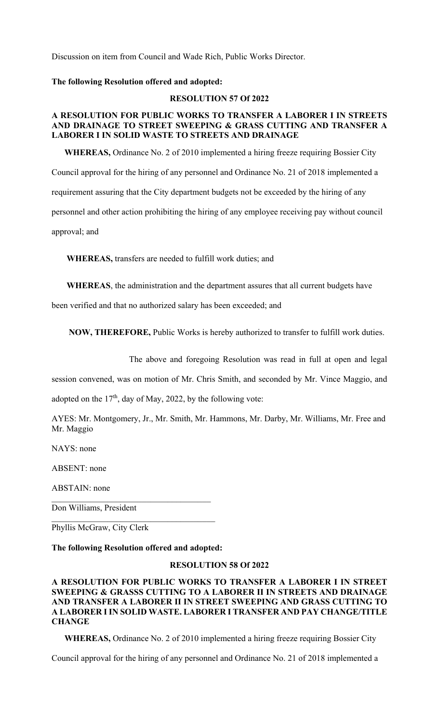Discussion on item from Council and Wade Rich, Public Works Director.

## **The following Resolution offered and adopted:**

### **RESOLUTION 57 Of 2022**

# **A RESOLUTION FOR PUBLIC WORKS TO TRANSFER A LABORER I IN STREETS AND DRAINAGE TO STREET SWEEPING & GRASS CUTTING AND TRANSFER A LABORER I IN SOLID WASTE TO STREETS AND DRAINAGE**

 **WHEREAS,** Ordinance No. 2 of 2010 implemented a hiring freeze requiring Bossier City Council approval for the hiring of any personnel and Ordinance No. 21 of 2018 implemented a requirement assuring that the City department budgets not be exceeded by the hiring of any personnel and other action prohibiting the hiring of any employee receiving pay without council approval; and

 **WHEREAS,** transfers are needed to fulfill work duties; and

 **WHEREAS**, the administration and the department assures that all current budgets have

been verified and that no authorized salary has been exceeded; and

 **NOW, THEREFORE,** Public Works is hereby authorized to transfer to fulfill work duties.

The above and foregoing Resolution was read in full at open and legal

session convened, was on motion of Mr. Chris Smith, and seconded by Mr. Vince Maggio, and

adopted on the  $17<sup>th</sup>$ , day of May, 2022, by the following vote:

AYES: Mr. Montgomery, Jr., Mr. Smith, Mr. Hammons, Mr. Darby, Mr. Williams, Mr. Free and Mr. Maggio

NAYS: none

ABSENT: none

ABSTAIN: none

Don Williams, President

Phyllis McGraw, City Clerk

**The following Resolution offered and adopted:** 

# **RESOLUTION 58 Of 2022**

**A RESOLUTION FOR PUBLIC WORKS TO TRANSFER A LABORER I IN STREET SWEEPING & GRASSS CUTTING TO A LABORER II IN STREETS AND DRAINAGE AND TRANSFER A LABORER II IN STREET SWEEPING AND GRASS CUTTING TO A LABORER I IN SOLID WASTE. LABORER I TRANSFER AND PAY CHANGE/TITLE CHANGE**

 **WHEREAS,** Ordinance No. 2 of 2010 implemented a hiring freeze requiring Bossier City

Council approval for the hiring of any personnel and Ordinance No. 21 of 2018 implemented a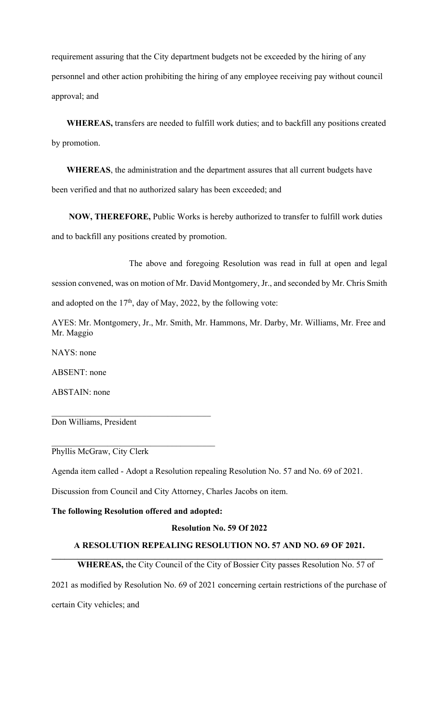requirement assuring that the City department budgets not be exceeded by the hiring of any personnel and other action prohibiting the hiring of any employee receiving pay without council approval; and

 **WHEREAS,** transfers are needed to fulfill work duties; and to backfill any positions created by promotion.

 **WHEREAS**, the administration and the department assures that all current budgets have been verified and that no authorized salary has been exceeded; and

 **NOW, THEREFORE,** Public Works is hereby authorized to transfer to fulfill work duties and to backfill any positions created by promotion.

 The above and foregoing Resolution was read in full at open and legal session convened, was on motion of Mr. David Montgomery, Jr., and seconded by Mr. Chris Smith

and adopted on the  $17<sup>th</sup>$ , day of May, 2022, by the following vote:

AYES: Mr. Montgomery, Jr., Mr. Smith, Mr. Hammons, Mr. Darby, Mr. Williams, Mr. Free and Mr. Maggio

NAYS: none

ABSENT: none

ABSTAIN: none

Don Williams, President

Phyllis McGraw, City Clerk

Agenda item called - Adopt a Resolution repealing Resolution No. 57 and No. 69 of 2021.

Discussion from Council and City Attorney, Charles Jacobs on item.

## **The following Resolution offered and adopted:**

\_\_\_\_\_\_\_\_\_\_\_\_\_\_\_\_\_\_\_\_\_\_\_\_\_\_\_\_\_\_\_\_\_\_\_\_\_\_

## **Resolution No. 59 Of 2022**

## **A RESOLUTION REPEALING RESOLUTION NO. 57 AND NO. 69 OF 2021.**   $\mathcal{L}_\mathcal{L} = \{ \mathcal{L}_\mathcal{L} = \{ \mathcal{L}_\mathcal{L} = \{ \mathcal{L}_\mathcal{L} = \{ \mathcal{L}_\mathcal{L} = \{ \mathcal{L}_\mathcal{L} = \{ \mathcal{L}_\mathcal{L} = \{ \mathcal{L}_\mathcal{L} = \{ \mathcal{L}_\mathcal{L} = \{ \mathcal{L}_\mathcal{L} = \{ \mathcal{L}_\mathcal{L} = \{ \mathcal{L}_\mathcal{L} = \{ \mathcal{L}_\mathcal{L} = \{ \mathcal{L}_\mathcal{L} = \{ \mathcal{L}_\mathcal{$

# **WHEREAS,** the City Council of the City of Bossier City passes Resolution No. 57 of

2021 as modified by Resolution No. 69 of 2021 concerning certain restrictions of the purchase of certain City vehicles; and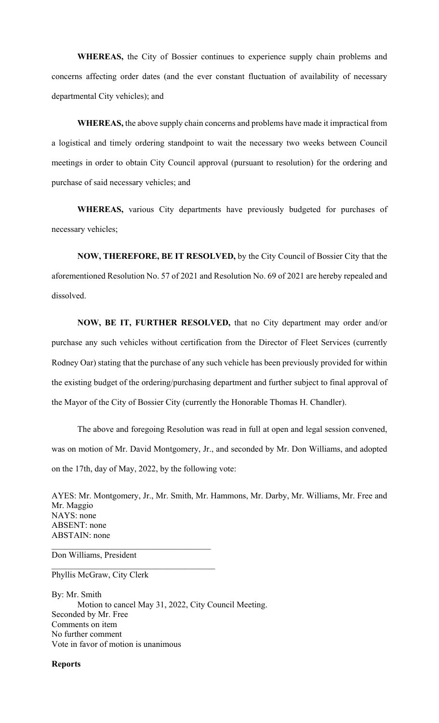**WHEREAS,** the City of Bossier continues to experience supply chain problems and concerns affecting order dates (and the ever constant fluctuation of availability of necessary departmental City vehicles); and

**WHEREAS,** the above supply chain concerns and problems have made it impractical from a logistical and timely ordering standpoint to wait the necessary two weeks between Council meetings in order to obtain City Council approval (pursuant to resolution) for the ordering and purchase of said necessary vehicles; and

**WHEREAS,** various City departments have previously budgeted for purchases of necessary vehicles;

**NOW, THEREFORE, BE IT RESOLVED,** by the City Council of Bossier City that the aforementioned Resolution No. 57 of 2021 and Resolution No. 69 of 2021 are hereby repealed and dissolved.

**NOW, BE IT, FURTHER RESOLVED,** that no City department may order and/or purchase any such vehicles without certification from the Director of Fleet Services (currently Rodney Oar) stating that the purchase of any such vehicle has been previously provided for within the existing budget of the ordering/purchasing department and further subject to final approval of the Mayor of the City of Bossier City (currently the Honorable Thomas H. Chandler).

 The above and foregoing Resolution was read in full at open and legal session convened, was on motion of Mr. David Montgomery, Jr., and seconded by Mr. Don Williams, and adopted on the 17th, day of May, 2022, by the following vote:

AYES: Mr. Montgomery, Jr., Mr. Smith, Mr. Hammons, Mr. Darby, Mr. Williams, Mr. Free and Mr. Maggio NAYS: none ABSENT: none ABSTAIN: none

Don Williams, President

Phyllis McGraw, City Clerk

By: Mr. Smith Motion to cancel May 31, 2022, City Council Meeting. Seconded by Mr. Free Comments on item No further comment Vote in favor of motion is unanimous

 $\mathcal{L}_\text{max}$  and  $\mathcal{L}_\text{max}$  and  $\mathcal{L}_\text{max}$  and  $\mathcal{L}_\text{max}$ 

**Reports**